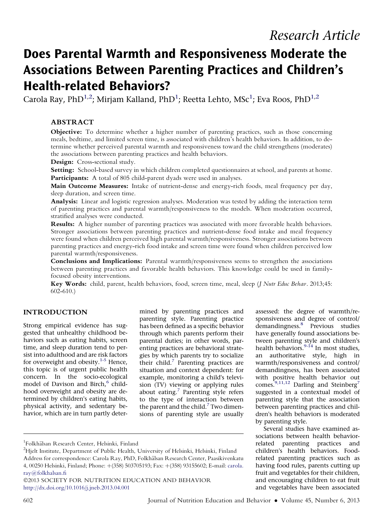# Does Parental Warmth and Responsiveness Moderate the Associations Between Parenting Practices and Children's Health-related Behaviors?

Carola Ray, PhD<sup>1,2</sup>; Mirjam Kalland, PhD<sup>1</sup>; Reetta Lehto, MSc<sup>1</sup>; Eva Roos, PhD<sup>1,2</sup>

#### ABSTRACT

Objective: To determine whether a higher number of parenting practices, such as those concerning meals, bedtime, and limited screen time, is associated with children's health behaviors. In addition, to determine whether perceived parental warmth and responsiveness toward the child strengthens (moderates) the associations between parenting practices and health behaviors.

Design: Cross-sectional study.

Setting: School-based survey in which children completed questionnaires at school, and parents at home. Participants: A total of 805 child-parent dyads were used in analyses.

Main Outcome Measures: Intake of nutrient-dense and energy-rich foods, meal frequency per day, sleep duration, and screen time.

Analysis: Linear and logistic regression analyses. Moderation was tested by adding the interaction term of parenting practices and parental warmth/responsiveness to the models. When moderation occurred, stratified analyses were conducted.

Results: A higher number of parenting practices was associated with more favorable health behaviors. Stronger associations between parenting practices and nutrient-dense food intake and meal frequency were found when children perceived high parental warmth/responsiveness. Stronger associations between parenting practices and energy-rich food intake and screen time were found when children perceived low parental warmth/responsiveness.

Conclusions and Implications: Parental warmth/responsiveness seems to strengthen the associations between parenting practices and favorable health behaviors. This knowledge could be used in familyfocused obesity interventions.

Key Words: child, parent, health behaviors, food, screen time, meal, sleep (J Nutr Educ Behav. 2013;45: 602-610.)

#### INTRODUCTION

Strong empirical evidence has suggested that unhealthy childhood behaviors such as eating habits, screen time, and sleep duration tend to persist into adulthood and are risk factors for overweight and obesity.<sup>1-5</sup> Hence, this topic is of urgent public health concern. In the socio-ecological model of Davison and Birch,<sup>6</sup> childhood overweight and obesity are determined by children's eating habits, physical activity, and sedentary behavior, which are in turn partly determined by parenting practices and parenting style. Parenting practice has been defined as a specific behavior through which parents perform their parental duties; in other words, parenting practices are behavioral strategies by which parents try to socialize their child.<sup>7</sup> Parenting practices are situation and context dependent: for example, monitoring a child's television (TV) viewing or applying rules about eating. $<sup>7</sup>$  Parenting style refers</sup> to the type of interaction between the parent and the child.<sup>7</sup> Two dimensions of parenting style are usually assessed: the degree of warmth/responsiveness and degree of control/ demandingness.<sup>8</sup> Previous studies have generally found associations between parenting style and children's health behaviors.<sup>9-14</sup> In most studies, an authoritative style, high in warmth/responsiveness and control/ demandingness, has been associated with positive health behavior out comes.<sup>9,11,12</sup> Darling and Steinberg<sup>7</sup> suggested in a contextual model of parenting style that the association between parenting practices and children's health behaviors is moderated by parenting style.

Several studies have examined associations between health behaviorrelated parenting practices and children's health behaviors. Foodrelated parenting practices such as having food rules, parents cutting up fruit and vegetables for their children, and encouraging children to eat fruit and vegetables have been associated

<sup>&</sup>lt;sup>1</sup>Folkhälsan Research Center, Helsinki, Finland<br><sup>2</sup>Hielt Institute, Department of Public Heelth

 $^{2}$ Hjelt Institute, Department of Public Health, University of Helsinki, Helsinki, Finland Address for correspondence: Carola Ray, PhD, Folkhälsan Research Center, Paasikivenkatu 4, 00250 Helsinki, Finland; Phone: +(358) 503705193; Fax: +(358) 93155602; E-mail: [carola.](mailto:carola.ray@folkhalsan.fi) [ray@folkhalsan.fi](mailto:carola.ray@folkhalsan.fi)

<sup>2013</sup> SOCIETY FOR NUTRITION EDUCATION AND BEHAVIOR <http://dx.doi.org/10.1016/j.jneb.2013.04.001>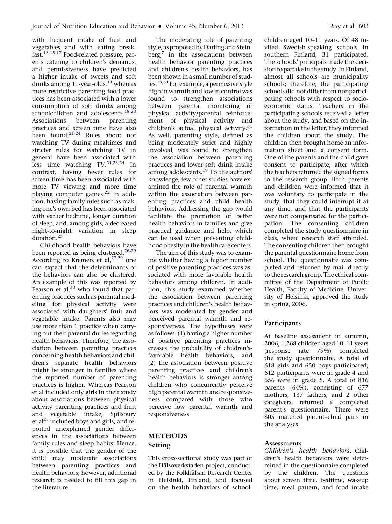with frequent intake of fruit and vegetables and with eating breakfast.13,15-17 Food-related pressure, parents catering to children's demands, and permissiveness have predicted a higher intake of sweets and soft drinks among 11-year-olds,<sup>13</sup> whereas more restrictive parenting food practices has been associated with a lower consumption of soft drinks among schoolchildren and adolescents.<sup>18-2</sup> Associations between parenting practices and screen time have also been found.21-24 Rules about not watching TV during mealtimes and stricter rules for watching TV in general have been associated with less time watching TV.<sup>21,23,24</sup> In contrast, having fewer rules for screen time has been associated with more TV viewing and more time playing computer games.<sup>22</sup> In addition, having family rules such as making one's own bed has been associated with earlier bedtime, longer duration of sleep, and, among girls, a decreased night-to-night variation in sleep duration.<sup>25</sup>

Childhood health behaviors have been reported as being clustered.<sup>26-29</sup> According to Kremers et al,  $27,29$  one can expect that the determinants of the behaviors can also be clustered. An example of this was reported by Pearson et al,<sup>30</sup> who found that parenting practices such as parental modeling for physical activity were associated with daughters' fruit and vegetable intake. Parents also may use more than 1 practice when carrying out their parental duties regarding health behaviors. Therefore, the association between parenting practices concerning health behaviors and children's separate health behaviors might be stronger in families where the reported number of parenting practices is higher. Whereas Pearson et al included only girls in their study about associations between physical activity parenting practices and fruit and vegetable intake, Spilsbury et al $^{25}$  included boys and girls, and reported unexplained gender differences in the associations between family rules and sleep habits. Hence, it is possible that the gender of the child may moderate associations between parenting practices and health behaviors; however, additional research is needed to fill this gap in the literature.

The moderating role of parenting style, as proposed by Darling and Stein $berg<sub>1</sub><sup>7</sup>$  in the associations between health behavior parenting practices and children's health behaviors, has been shown in a small number of studies.19,31 For example, a permissive style high in warmth and low in control was found to strengthen associations between parental monitoring of physical activity/parental reinforcement of physical activity and children's actual physical activity.<sup>31</sup> As well, parenting style, defined as being moderately strict and highly involved, was found to strengthen the association between parenting practices and lower soft drink intake among adolescents.<sup>19</sup> To the authors' knowledge, few other studies have examined the role of parental warmth within the association between parenting practices and child health behaviors. Addressing the gap would facilitate the promotion of better health behaviors in families and give practical guidance and help, which can be used when preventing childhood obesity in the health care centers.

The aim of this study was to examine whether having a higher number of positive parenting practices was associated with more favorable health behaviors among children. In addition, this study examined whether the association between parenting practices and children's health behaviors was moderated by gender and perceived parental warmth and responsiveness. The hypotheses were as follows: (1) having a higher number of positive parenting practices increases the probability of children'sfavorable health behaviors, and (2) the association between positive parenting practices and children's health behaviors is stronger among children who concurrently perceive high parental warmth and responsiveness compared with those who perceive low parental warmth and responsiveness.

#### METHODS

### Setting

This cross-sectional study was part of the Hälsoverkstaden project, conducted by the Folkhälsan Research Center in Helsinki, Finland, and focused on the health behaviors of schoolchildren aged 10–11 years. Of 48 invited Swedish-speaking schools in southern Finland, 31 participated. The schools' principals made the decision to partake in the study. In Finland, almost all schools are municipality schools; therefore, the participating schools did not differ from nonparticipating schools with respect to socioeconomic status. Teachers in the participating schools received a letter about the study, and based on the information in the letter, they informed the children about the study. The children then brought home an information sheet and a consent form. One of the parents and the child gave consent to participate, after which the teachers returned the signed forms to the research group. Both parents and children were informed that it was voluntary to participate in the study, that they could interrupt it at any time, and that the participants were not compensated for the participation. The consenting children completed the study questionnaire in class, where research staff attended. The consenting children then brought the parental questionnaire home from school. The questionnaire was completed and returned by mail directly to the research group. The ethical committee of the Department of Public Health, Faculty of Medicine, University of Helsinki, approved the study in spring, 2006.

# Participants and the control of the control of the control of the control of the control of the control of the control of the control of the control of the control of the control of the control of the control of the contro

At baseline assessment in autumn, 2006, 1,268 children aged 10–11 years (response rate 79%) completed the study questionnaire. A total of 618 girls and 650 boys participated; 612 participants were in grade 4 and 656 were in grade 5. A total of 816 parents (64%), consisting of 677 mothers, 137 fathers, and 2 other caregivers, returned a completed parent's questionnaire. There were 805 matched parent–child pairs in the analyses.

--------------<br>Children's health behaviors. Children's health behaviors were determined in the questionnaire completed by the children. The questions about screen time, bedtime, wakeup time, meal pattern, and food intake